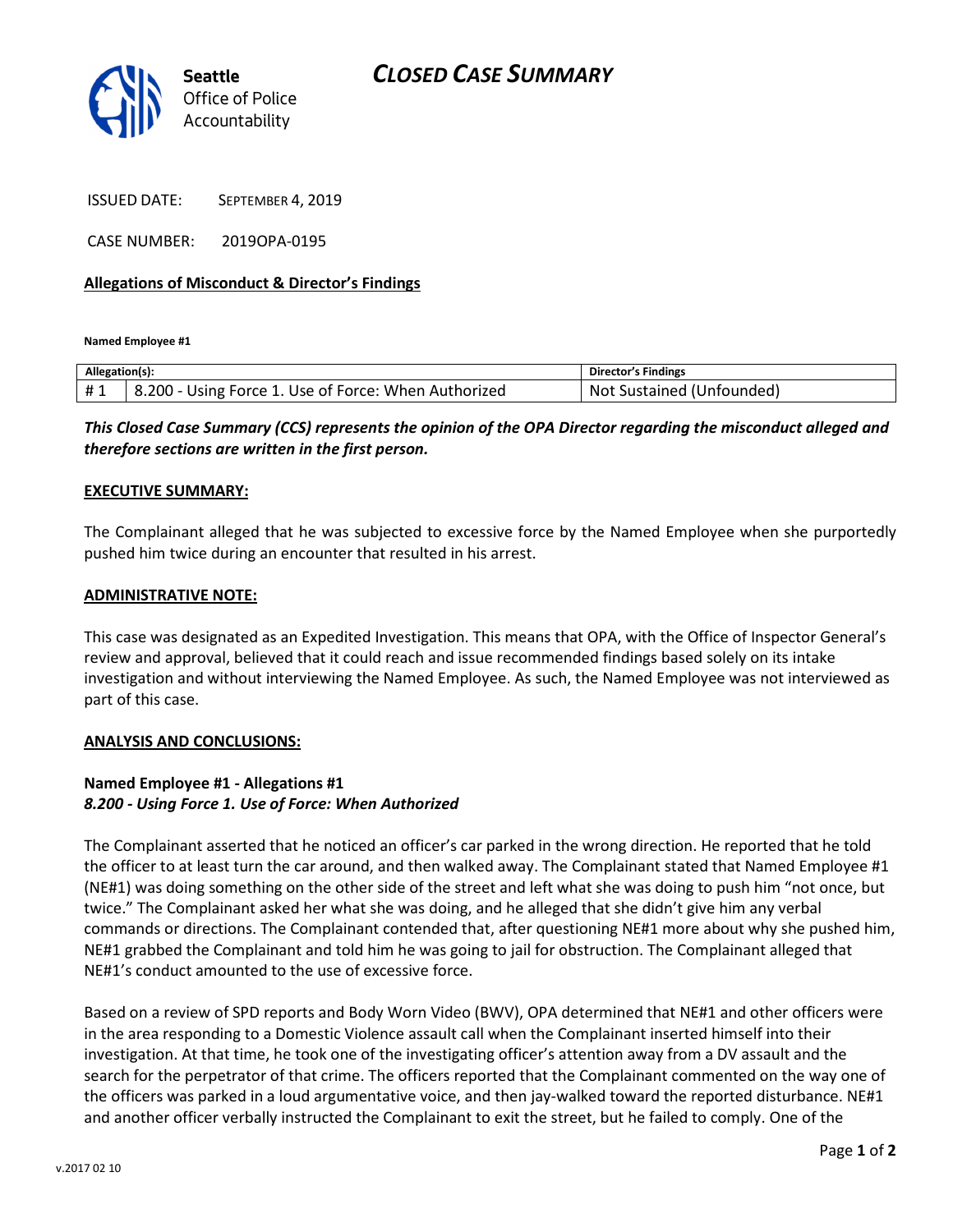

ISSUED DATE: SEPTEMBER 4, 2019

CASE NUMBER: 2019OPA-0195

#### Allegations of Misconduct & Director's Findings

Named Employee #1

| Allegation(s): |                                                      | <b>Director's Findings</b>   |
|----------------|------------------------------------------------------|------------------------------|
| #1             | 3.200 - Using Force 1. Use of Force: When Authorized | Sustained (Unfounded)<br>Not |

This Closed Case Summary (CCS) represents the opinion of the OPA Director regarding the misconduct alleged and therefore sections are written in the first person.

#### EXECUTIVE SUMMARY:

The Complainant alleged that he was subjected to excessive force by the Named Employee when she purportedly pushed him twice during an encounter that resulted in his arrest.

#### ADMINISTRATIVE NOTE:

This case was designated as an Expedited Investigation. This means that OPA, with the Office of Inspector General's review and approval, believed that it could reach and issue recommended findings based solely on its intake investigation and without interviewing the Named Employee. As such, the Named Employee was not interviewed as part of this case.

#### ANALYSIS AND CONCLUSIONS:

### Named Employee #1 - Allegations #1 8.200 - Using Force 1. Use of Force: When Authorized

The Complainant asserted that he noticed an officer's car parked in the wrong direction. He reported that he told the officer to at least turn the car around, and then walked away. The Complainant stated that Named Employee #1 (NE#1) was doing something on the other side of the street and left what she was doing to push him "not once, but twice." The Complainant asked her what she was doing, and he alleged that she didn't give him any verbal commands or directions. The Complainant contended that, after questioning NE#1 more about why she pushed him, NE#1 grabbed the Complainant and told him he was going to jail for obstruction. The Complainant alleged that NE#1's conduct amounted to the use of excessive force.

Based on a review of SPD reports and Body Worn Video (BWV), OPA determined that NE#1 and other officers were in the area responding to a Domestic Violence assault call when the Complainant inserted himself into their investigation. At that time, he took one of the investigating officer's attention away from a DV assault and the search for the perpetrator of that crime. The officers reported that the Complainant commented on the way one of the officers was parked in a loud argumentative voice, and then jay-walked toward the reported disturbance. NE#1 and another officer verbally instructed the Complainant to exit the street, but he failed to comply. One of the